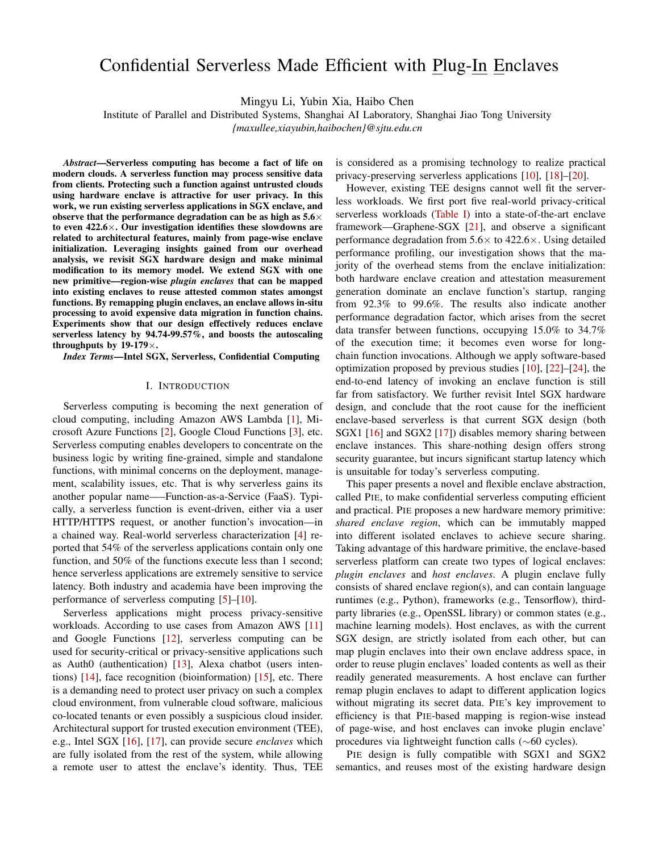# Confidential Serverless Made Efficient with Plug-In Enclaves

Mingyu Li, Yubin Xia, Haibo Chen

Institute of Parallel and Distributed Systems, Shanghai AI Laboratory, Shanghai Jiao Tong University

*{maxullee,xiayubin,haibochen}@sjtu.edu.cn*

*Abstract*—Serverless computing has become a fact of life on modern clouds. A serverless function may process sensitive data from clients. Protecting such a function against untrusted clouds using hardware enclave is attractive for user privacy. In this work, we run existing serverless applications in SGX enclave, and observe that the performance degradation can be as high as  $5.6\times$ to even  $422.6 \times$ . Our investigation identifies these slowdowns are related to architectural features, mainly from page-wise enclave initialization. Leveraging insights gained from our overhead analysis, we revisit SGX hardware design and make minimal modification to its memory model. We extend SGX with one new primitive—region-wise *plugin enclaves* that can be mapped into existing enclaves to reuse attested common states amongst functions. By remapping plugin enclaves, an enclave allows in-situ processing to avoid expensive data migration in function chains. Experiments show that our design effectively reduces enclave serverless latency by 94.74-99.57%, and boosts the autoscaling throughputs by  $19-179\times$ .

*Index Terms*—Intel SGX, Serverless, Confidential Computing

#### I. INTRODUCTION

Serverless computing is becoming the next generation of cloud computing, including Amazon AWS Lambda [\[1\]](#page-12-0), Microsoft Azure Functions [\[2\]](#page-12-1), Google Cloud Functions [\[3\]](#page-12-2), etc. Serverless computing enables developers to concentrate on the business logic by writing fine-grained, simple and standalone functions, with minimal concerns on the deployment, management, scalability issues, etc. That is why serverless gains its another popular name—–Function-as-a-Service (FaaS). Typically, a serverless function is event-driven, either via a user HTTP/HTTPS request, or another function's invocation—in a chained way. Real-world serverless characterization [\[4\]](#page-12-3) reported that 54% of the serverless applications contain only one function, and 50% of the functions execute less than 1 second; hence serverless applications are extremely sensitive to service latency. Both industry and academia have been improving the performance of serverless computing [\[5\]](#page-12-4)–[\[10\]](#page-12-5).

Serverless applications might process privacy-sensitive workloads. According to use cases from Amazon AWS [\[11\]](#page-12-6) and Google Functions [\[12\]](#page-12-7), serverless computing can be used for security-critical or privacy-sensitive applications such as Auth0 (authentication) [\[13\]](#page-12-8), Alexa chatbot (users intentions) [\[14\]](#page-12-9), face recognition (bioinformation) [\[15\]](#page-12-10), etc. There is a demanding need to protect user privacy on such a complex cloud environment, from vulnerable cloud software, malicious co-located tenants or even possibly a suspicious cloud insider. Architectural support for trusted execution environment (TEE), e.g., Intel SGX [\[16\]](#page-12-11), [\[17\]](#page-12-12), can provide secure *enclaves* which are fully isolated from the rest of the system, while allowing a remote user to attest the enclave's identity. Thus, TEE is considered as a promising technology to realize practical privacy-preserving serverless applications [\[10\]](#page-12-5), [\[18\]](#page-12-13)–[\[20\]](#page-12-14).

However, existing TEE designs cannot well fit the serverless workloads. We first port five real-world privacy-critical serverless workloads [\(Table I\)](#page-2-0) into a state-of-the-art enclave framework—Graphene-SGX [\[21\]](#page-12-15), and observe a significant performance degradation from  $5.6 \times$  to  $422.6 \times$ . Using detailed performance profiling, our investigation shows that the majority of the overhead stems from the enclave initialization: both hardware enclave creation and attestation measurement generation dominate an enclave function's startup, ranging from 92.3% to 99.6%. The results also indicate another performance degradation factor, which arises from the secret data transfer between functions, occupying 15.0% to 34.7% of the execution time; it becomes even worse for longchain function invocations. Although we apply software-based optimization proposed by previous studies [\[10\]](#page-12-5), [\[22\]](#page-12-16)–[\[24\]](#page-12-17), the end-to-end latency of invoking an enclave function is still far from satisfactory. We further revisit Intel SGX hardware design, and conclude that the root cause for the inefficient enclave-based serverless is that current SGX design (both SGX1 [\[16\]](#page-12-11) and SGX2 [\[17\]](#page-12-12)) disables memory sharing between enclave instances. This share-nothing design offers strong security guarantee, but incurs significant startup latency which is unsuitable for today's serverless computing.

This paper presents a novel and flexible enclave abstraction, called PIE, to make confidential serverless computing efficient and practical. PIE proposes a new hardware memory primitive: *shared enclave region*, which can be immutably mapped into different isolated enclaves to achieve secure sharing. Taking advantage of this hardware primitive, the enclave-based serverless platform can create two types of logical enclaves: *plugin enclaves* and *host enclaves*. A plugin enclave fully consists of shared enclave region(s), and can contain language runtimes (e.g., Python), frameworks (e.g., Tensorflow), thirdparty libraries (e.g., OpenSSL library) or common states (e.g., machine learning models). Host enclaves, as with the current SGX design, are strictly isolated from each other, but can map plugin enclaves into their own enclave address space, in order to reuse plugin enclaves' loaded contents as well as their readily generated measurements. A host enclave can further remap plugin enclaves to adapt to different application logics without migrating its secret data. PIE's key improvement to efficiency is that PIE-based mapping is region-wise instead of page-wise, and host enclaves can invoke plugin enclave' procedures via lightweight function calls (∼60 cycles).

PIE design is fully compatible with SGX1 and SGX2 semantics, and reuses most of the existing hardware design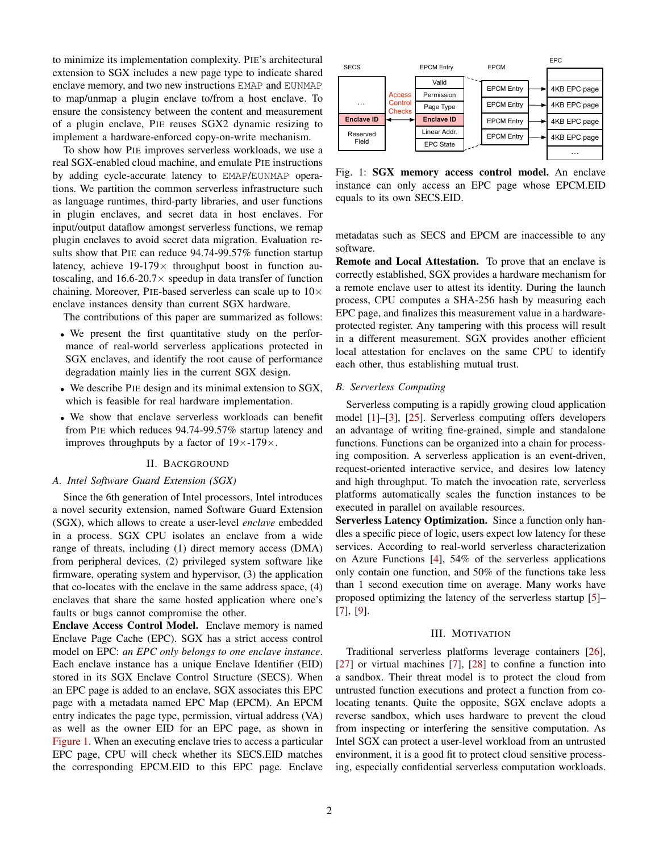to minimize its implementation complexity. PIE's architectural extension to SGX includes a new page type to indicate shared enclave memory, and two new instructions EMAP and EUNMAP to map/unmap a plugin enclave to/from a host enclave. To ensure the consistency between the content and measurement of a plugin enclave, PIE reuses SGX2 dynamic resizing to implement a hardware-enforced copy-on-write mechanism.

To show how PIE improves serverless workloads, we use a real SGX-enabled cloud machine, and emulate PIE instructions by adding cycle-accurate latency to EMAP/EUNMAP operations. We partition the common serverless infrastructure such as language runtimes, third-party libraries, and user functions in plugin enclaves, and secret data in host enclaves. For input/output dataflow amongst serverless functions, we remap plugin enclaves to avoid secret data migration. Evaluation results show that PIE can reduce 94.74-99.57% function startup latency, achieve  $19-179\times$  throughput boost in function autoscaling, and  $16.6-20.7\times$  speedup in data transfer of function chaining. Moreover, PIE-based serverless can scale up to  $10\times$ enclave instances density than current SGX hardware. T a plugin enclosive, PIE essess SGX2 dynamic resizing to the corresponding to the base of a plugin enclave here are the same of the same to share the prince include the material control in the same of the same of the sam

The contributions of this paper are summarized as follows:

- We present the first quantitative study on the performance of real-world serverless applications protected in SGX enclaves, and identify the root cause of performance degradation mainly lies in the current SGX design.
- We describe PIE design and its minimal extension to SGX, which is feasible for real hardware implementation.
- We show that enclave serverless workloads can benefit from PIE which reduces 94.74-99.57% startup latency and improves throughputs by a factor of  $19\times$ -179 $\times$ .

## II. BACKGROUND

# <span id="page-1-1"></span>*A. Intel Software Guard Extension (SGX)*

Since the 6th generation of Intel processors, Intel introduces a novel security extension, named Software Guard Extension (SGX), which allows to create a user-level *enclave* embedded in a process. SGX CPU isolates an enclave from a wide range of threats, including (1) direct memory access (DMA) from peripheral devices, (2) privileged system software like firmware, operating system and hypervisor, (3) the application that co-locates with the enclave in the same address space, (4) enclaves that share the same hosted application where one's faults or bugs cannot compromise the other.

Enclave Access Control Model. Enclave memory is named Enclave Page Cache (EPC). SGX has a strict access control model on EPC: *an EPC only belongs to one enclave instance*. Each enclave instance has a unique Enclave Identifier (EID) stored in its SGX Enclave Control Structure (SECS). When an EPC page is added to an enclave, SGX associates this EPC page with a metadata named EPC Map (EPCM). An EPCM entry indicates the page type, permission, virtual address (VA) as well as the owner EID for an EPC page, as shown in [Figure 1.](#page-1-0) When an executing enclave tries to access a particular EPC page, CPU will check whether its SECS.EID matches

<span id="page-1-0"></span>

Fig. 1: SGX memory access control model. An enclave instance can only access an EPC page whose EPCM.EID equals to its own SECS.EID.

metadatas such as SECS and EPCM are inaccessible to any software.

Remote and Local Attestation. To prove that an enclave is correctly established, SGX provides a hardware mechanism for a remote enclave user to attest its identity. During the launch process, CPU computes a SHA-256 hash by measuring each EPC page, and finalizes this measurement value in a hardwareprotected register. Any tampering with this process will result in a different measurement. SGX provides another efficient local attestation for enclaves on the same CPU to identify each other, thus establishing mutual trust.

#### *B. Serverless Computing*

Serverless computing is a rapidly growing cloud application model [\[1\]](#page-12-0)–[\[3\]](#page-12-2), [\[25\]](#page-12-18). Serverless computing offers developers an advantage of writing fine-grained, simple and standalone functions. Functions can be organized into a chain for processing composition. A serverless application is an event-driven, request-oriented interactive service, and desires low latency and high throughput. To match the invocation rate, serverless platforms automatically scales the function instances to be executed in parallel on available resources.

Serverless Latency Optimization. Since a function only handles a specific piece of logic, users expect low latency for these services. According to real-world serverless characterization on Azure Functions [\[4\]](#page-12-3), 54% of the serverless applications only contain one function, and 50% of the functions take less than 1 second execution time on average. Many works have proposed optimizing the latency of the serverless startup [\[5\]](#page-12-4)– [\[7\]](#page-12-19), [\[9\]](#page-12-20).

## III. MOTIVATION

<span id="page-1-2"></span>Traditional serverless platforms leverage containers [\[26\]](#page-12-21),  $[27]$  or virtual machines  $[7]$ ,  $[28]$  to confine a function into a sandbox. Their threat model is to protect the cloud from untrusted function executions and protect a function from colocating tenants. Quite the opposite, SGX enclave adopts a reverse sandbox, which uses hardware to prevent the cloud from inspecting or interfering the sensitive computation. As Intel SGX can protect a user-level workload from an untrusted environment, it is a good fit to protect cloud sensitive processing, especially confidential serverless computation workloads.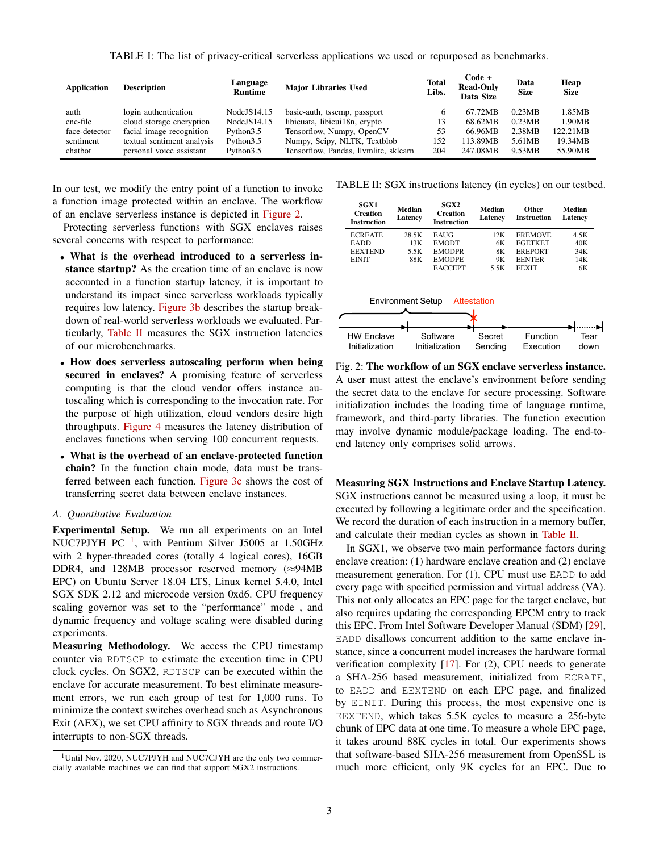TABLE I: The list of privacy-critical serverless applications we used or repurposed as benchmarks.

<span id="page-2-0"></span>

| <b>Application</b> | <b>Description</b>         | Language<br><b>Runtime</b> | <b>Major Libraries Used</b>           | <b>Total</b><br>Libs. | Code +<br><b>Read-Only</b><br>Data Size | Data<br><b>Size</b> | Heap<br><b>Size</b> |
|--------------------|----------------------------|----------------------------|---------------------------------------|-----------------------|-----------------------------------------|---------------------|---------------------|
| auth               | login authentication       | NodeJS14.15                | basic-auth, tsscmp, passport          |                       | 67.72MB                                 | 0.23MB              | 1.85MB              |
| enc-file           | cloud storage encryption   | NodeJS14.15                | libicuata, libicui18n, crypto         | 13                    | 68.62MB                                 | 0.23MB              | 1.90MB              |
| face-detector      | facial image recognition   | Python3.5                  | Tensorflow, Numpy, OpenCV             | 53                    | 66.96MB                                 | 2.38MB              | 122.21MB            |
| sentiment          | textual sentiment analysis | Python3.5                  | Numpy, Scipy, NLTK, Textblob          | 152                   | 113.89MB                                | 5.61MB              | 19.34MB             |
| chatbot            | personal voice assistant   | Python3.5                  | Tensorflow, Pandas, Ilymlite, sklearn | 204                   | 247.08MB                                | 9.53MB              | 55.90MB             |

In our test, we modify the entry point of a function to invoke a function image protected within an enclave. The workflow of an enclave serverless instance is depicted in [Figure 2.](#page-2-1)

Protecting serverless functions with SGX enclaves raises several concerns with respect to performance:

- What is the overhead introduced to a serverless instance startup? As the creation time of an enclave is now accounted in a function startup latency, it is important to understand its impact since serverless workloads typically requires low latency. [Figure 3b](#page-3-0) describes the startup breakdown of real-world serverless workloads we evaluated. Particularly, [Table II](#page-2-2) measures the SGX instruction latencies of our microbenchmarks.
- How does serverless autoscaling perform when being secured in enclaves? A promising feature of serverless computing is that the cloud vendor offers instance autoscaling which is corresponding to the invocation rate. For the purpose of high utilization, cloud vendors desire high throughputs. [Figure 4](#page-3-1) measures the latency distribution of enclaves functions when serving 100 concurrent requests.
- What is the overhead of an enclave-protected function chain? In the function chain mode, data must be transferred between each function. [Figure 3c](#page-3-0) shows the cost of transferring secret data between enclave instances.

## *A. Quantitative Evaluation*

Experimental Setup. We run all experiments on an Intel NUC7PJYH PC $^{-1}$  $^{-1}$  $^{-1}$ , with Pentium Silver J5005 at 1.50GHz with 2 hyper-threaded cores (totally 4 logical cores), 16GB DDR4, and 128MB processor reserved memory (≈94MB EPC) on Ubuntu Server 18.04 LTS, Linux kernel 5.4.0, Intel SGX SDK 2.12 and microcode version 0xd6. CPU frequency scaling governor was set to the "performance" mode , and dynamic frequency and voltage scaling were disabled during experiments.

Measuring Methodology. We access the CPU timestamp counter via RDTSCP to estimate the execution time in CPU clock cycles. On SGX2, RDTSCP can be executed within the enclave for accurate measurement. To best eliminate measurement errors, we run each group of test for 1,000 runs. To minimize the context switches overhead such as Asynchronous Exit (AEX), we set CPU affinity to SGX threads and route I/O interrupts to non-SGX threads.

<span id="page-2-2"></span>TABLE II: SGX instructions latency (in cycles) on our testbed.

| SGX1<br><b>Creation</b><br><b>Instruction</b> | Median<br>Latency | SGX2<br><b>Creation</b><br><b>Instruction</b> | Median<br>Latency | Other<br><b>Instruction</b> | Median<br>Latency |
|-----------------------------------------------|-------------------|-----------------------------------------------|-------------------|-----------------------------|-------------------|
| <b>ECREATE</b>                                | 28.5K             | EAUG                                          | 12K               | <b>EREMOVE</b>              | 4.5K              |
| EADD                                          | 13K               | <b>EMODT</b>                                  | 6К                | <b>EGETKET</b>              | 40K               |
| <b>EEXTEND</b>                                | 5.5K              | <b>EMODPR</b>                                 | 8K                | <b>EREPORT</b>              | 34K               |
| <b>EINIT</b>                                  | 88K               | <b>EMODPE</b>                                 | 9Κ                | <b>EENTER</b>               | 14K               |
|                                               |                   | <b>EACCEPT</b>                                | 5.5K              | <b>FEXIT</b>                | 6K                |

<span id="page-2-1"></span>

Fig. 2: The workflow of an SGX enclave serverless instance. A user must attest the enclave's environment before sending the secret data to the enclave for secure processing. Software initialization includes the loading time of language runtime, framework, and third-party libraries. The function execution may involve dynamic module/package loading. The end-toend latency only comprises solid arrows.

Measuring SGX Instructions and Enclave Startup Latency. SGX instructions cannot be measured using a loop, it must be executed by following a legitimate order and the specification. We record the duration of each instruction in a memory buffer, and calculate their median cycles as shown in [Table II.](#page-2-2)

In SGX1, we observe two main performance factors during enclave creation: (1) hardware enclave creation and (2) enclave measurement generation. For (1), CPU must use EADD to add every page with specified permission and virtual address (VA). This not only allocates an EPC page for the target enclave, but also requires updating the corresponding EPCM entry to track this EPC. From Intel Software Developer Manual (SDM) [\[29\]](#page-12-24), EADD disallows concurrent addition to the same enclave instance, since a concurrent model increases the hardware formal verification complexity [\[17\]](#page-12-12). For (2), CPU needs to generate a SHA-256 based measurement, initialized from ECRATE, to EADD and EEXTEND on each EPC page, and finalized by EINIT. During this process, the most expensive one is EEXTEND, which takes 5.5K cycles to measure a 256-byte chunk of EPC data at one time. To measure a whole EPC page, it takes around 88K cycles in total. Our experiments shows that software-based SHA-256 measurement from OpenSSL is much more efficient, only 9K cycles for an EPC. Due to

<span id="page-2-3"></span><sup>&</sup>lt;sup>1</sup>Until Nov. 2020, NUC7PJYH and NUC7CJYH are the only two commercially available machines we can find that support SGX2 instructions.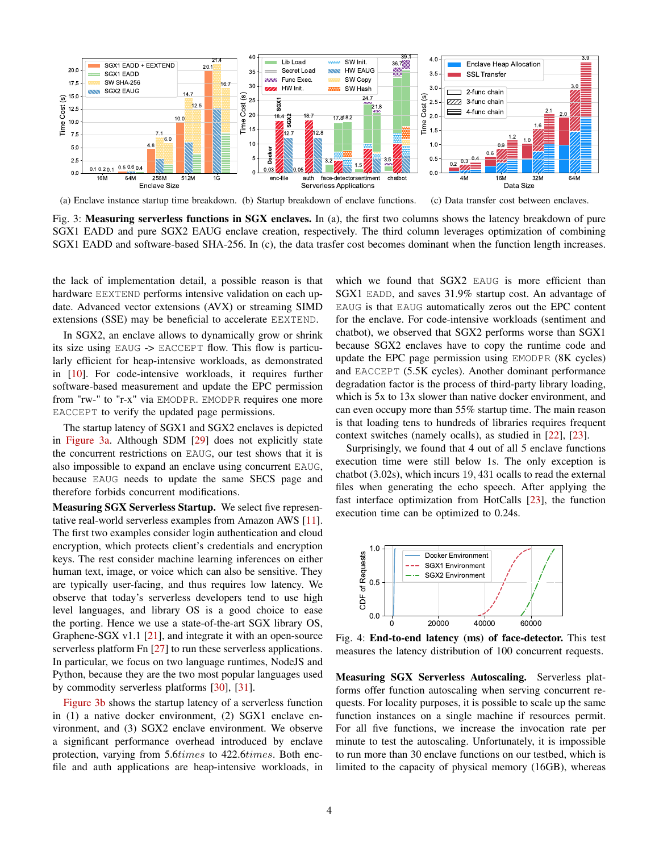<span id="page-3-0"></span>

(a) Enclave instance startup time breakdown. (b) Startup breakdown of enclave functions. (c) Data transfer cost between enclaves.

Fig. 3: Measuring serverless functions in SGX enclaves. In (a), the first two columns shows the latency breakdown of pure SGX1 EADD and pure SGX2 EAUG enclave creation, respectively. The third column leverages optimization of combining SGX1 EADD and software-based SHA-256. In (c), the data trasfer cost becomes dominant when the function length increases.

the lack of implementation detail, a possible reason is that hardware EEXTEND performs intensive validation on each update. Advanced vector extensions (AVX) or streaming SIMD extensions (SSE) may be beneficial to accelerate EEXTEND.

In SGX2, an enclave allows to dynamically grow or shrink its size using EAUG -> EACCEPT flow. This flow is particularly efficient for heap-intensive workloads, as demonstrated in [\[10\]](#page-12-5). For code-intensive workloads, it requires further software-based measurement and update the EPC permission from "rw-" to "r-x" via EMODPR. EMODPR requires one more EACCEPT to verify the updated page permissions.

The startup latency of SGX1 and SGX2 enclaves is depicted in [Figure 3a.](#page-3-0) Although SDM [\[29\]](#page-12-24) does not explicitly state the concurrent restrictions on EAUG, our test shows that it is also impossible to expand an enclave using concurrent EAUG, because EAUG needs to update the same SECS page and therefore forbids concurrent modifications.

Measuring SGX Serverless Startup. We select five representative real-world serverless examples from Amazon AWS [\[11\]](#page-12-6). The first two examples consider login authentication and cloud encryption, which protects client's credentials and encryption keys. The rest consider machine learning inferences on either human text, image, or voice which can also be sensitive. They are typically user-facing, and thus requires low latency. We observe that today's serverless developers tend to use high level languages, and library OS is a good choice to ease the porting. Hence we use a state-of-the-art SGX library OS, Graphene-SGX v1.1 [\[21\]](#page-12-15), and integrate it with an open-source serverless platform Fn [\[27\]](#page-12-22) to run these serverless applications. In particular, we focus on two language runtimes, NodeJS and Python, because they are the two most popular languages used by commodity serverless platforms [\[30\]](#page-12-25), [\[31\]](#page-12-26).

[Figure 3b](#page-3-0) shows the startup latency of a serverless function in (1) a native docker environment, (2) SGX1 enclave environment, and (3) SGX2 enclave environment. We observe a significant performance overhead introduced by enclave protection, varying from 5.6times to 422.6times. Both encfile and auth applications are heap-intensive workloads, in which we found that SGX2 EAUG is more efficient than SGX1 EADD, and saves 31.9% startup cost. An advantage of EAUG is that EAUG automatically zeros out the EPC content for the enclave. For code-intensive workloads (sentiment and chatbot), we observed that SGX2 performs worse than SGX1 because SGX2 enclaves have to copy the runtime code and update the EPC page permission using EMODPR (8K cycles) and EACCEPT (5.5K cycles). Another dominant performance degradation factor is the process of third-party library loading, which is 5x to 13x slower than native docker environment, and can even occupy more than 55% startup time. The main reason is that loading tens to hundreds of libraries requires frequent context switches (namely ocalls), as studied in [\[22\]](#page-12-16), [\[23\]](#page-12-27).

Surprisingly, we found that 4 out of all 5 enclave functions execution time were still below 1s. The only exception is chatbot (3.02s), which incurs 19, 431 ocalls to read the external files when generating the echo speech. After applying the fast interface optimization from HotCalls [\[23\]](#page-12-27), the function execution time can be optimized to 0.24s.

<span id="page-3-1"></span>

Fig. 4: End-to-end latency (ms) of face-detector. This test measures the latency distribution of 100 concurrent requests.

Measuring SGX Serverless Autoscaling. Serverless platforms offer function autoscaling when serving concurrent requests. For locality purposes, it is possible to scale up the same function instances on a single machine if resources permit. For all five functions, we increase the invocation rate per minute to test the autoscaling. Unfortunately, it is impossible to run more than 30 enclave functions on our testbed, which is limited to the capacity of physical memory (16GB), whereas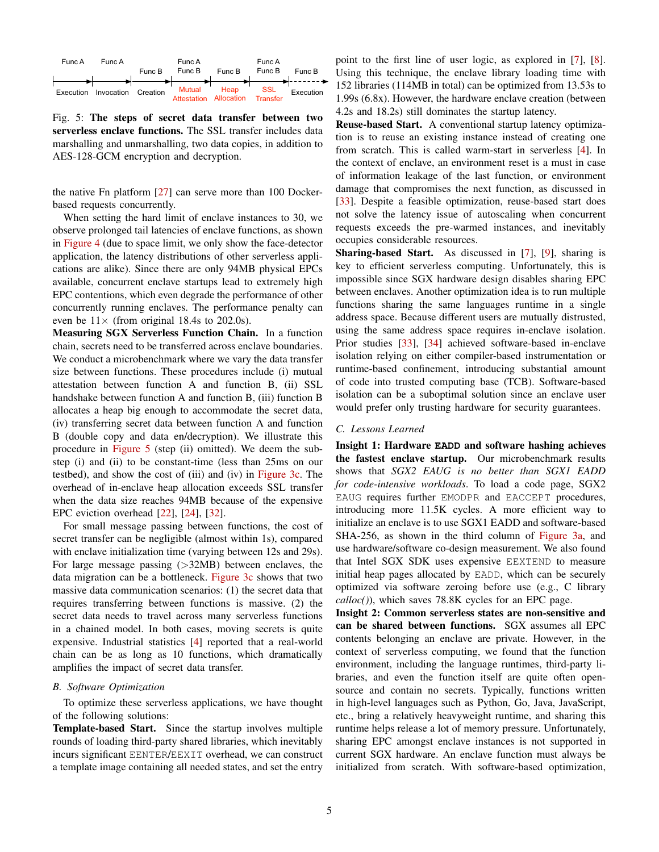<span id="page-4-0"></span>

Fig. 5: The steps of secret data transfer between two serverless enclave functions. The SSL transfer includes data marshalling and unmarshalling, two data copies, in addition to AES-128-GCM encryption and decryption.

the native Fn platform [\[27\]](#page-12-22) can serve more than 100 Dockerbased requests concurrently.

When setting the hard limit of enclave instances to 30, we observe prolonged tail latencies of enclave functions, as shown in [Figure 4](#page-3-1) (due to space limit, we only show the face-detector application, the latency distributions of other serverless applications are alike). Since there are only 94MB physical EPCs available, concurrent enclave startups lead to extremely high EPC contentions, which even degrade the performance of other concurrently running enclaves. The performance penalty can even be  $11\times$  (from original 18.4s to 202.0s).

Measuring SGX Serverless Function Chain. In a function chain, secrets need to be transferred across enclave boundaries. We conduct a microbenchmark where we vary the data transfer size between functions. These procedures include (i) mutual attestation between function A and function B, (ii) SSL handshake between function A and function B, (iii) function B allocates a heap big enough to accommodate the secret data, (iv) transferring secret data between function A and function B (double copy and data en/decryption). We illustrate this procedure in [Figure 5](#page-4-0) (step (ii) omitted). We deem the substep (i) and (ii) to be constant-time (less than 25ms on our testbed), and show the cost of (iii) and (iv) in [Figure 3c.](#page-3-0) The overhead of in-enclave heap allocation exceeds SSL transfer when the data size reaches 94MB because of the expensive EPC eviction overhead [\[22\]](#page-12-16), [\[24\]](#page-12-17), [\[32\]](#page-12-28).

For small message passing between functions, the cost of secret transfer can be negligible (almost within 1s), compared with enclave initialization time (varying between 12s and 29s). For large message passing (>32MB) between enclaves, the data migration can be a bottleneck. [Figure 3c](#page-3-0) shows that two massive data communication scenarios: (1) the secret data that requires transferring between functions is massive. (2) the secret data needs to travel across many serverless functions in a chained model. In both cases, moving secrets is quite expensive. Industrial statistics [\[4\]](#page-12-3) reported that a real-world chain can be as long as 10 functions, which dramatically amplifies the impact of secret data transfer.

# <span id="page-4-1"></span>*B. Software Optimization*

To optimize these serverless applications, we have thought of the following solutions:

Template-based Start. Since the startup involves multiple rounds of loading third-party shared libraries, which inevitably incurs significant EENTER/EEXIT overhead, we can construct a template image containing all needed states, and set the entry point to the first line of user logic, as explored in [\[7\]](#page-12-19), [\[8\]](#page-12-29). Using this technique, the enclave library loading time with 152 libraries (114MB in total) can be optimized from 13.53s to 1.99s (6.8x). However, the hardware enclave creation (between 4.2s and 18.2s) still dominates the startup latency.

Reuse-based Start. A conventional startup latency optimization is to reuse an existing instance instead of creating one from scratch. This is called warm-start in serverless [\[4\]](#page-12-3). In the context of enclave, an environment reset is a must in case of information leakage of the last function, or environment damage that compromises the next function, as discussed in [\[33\]](#page-12-30). Despite a feasible optimization, reuse-based start does not solve the latency issue of autoscaling when concurrent requests exceeds the pre-warmed instances, and inevitably occupies considerable resources.

Sharing-based Start. As discussed in [\[7\]](#page-12-19), [\[9\]](#page-12-20), sharing is key to efficient serverless computing. Unfortunately, this is impossible since SGX hardware design disables sharing EPC between enclaves. Another optimization idea is to run multiple functions sharing the same languages runtime in a single address space. Because different users are mutually distrusted, using the same address space requires in-enclave isolation. Prior studies [\[33\]](#page-12-30), [\[34\]](#page-12-31) achieved software-based in-enclave isolation relying on either compiler-based instrumentation or runtime-based confinement, introducing substantial amount of code into trusted computing base (TCB). Software-based isolation can be a suboptimal solution since an enclave user would prefer only trusting hardware for security guarantees.

#### *C. Lessons Learned*

Insight 1: Hardware **EADD** and software hashing achieves the fastest enclave startup. Our microbenchmark results shows that *SGX2 EAUG is no better than SGX1 EADD for code-intensive workloads*. To load a code page, SGX2 EAUG requires further EMODPR and EACCEPT procedures, introducing more 11.5K cycles. A more efficient way to initialize an enclave is to use SGX1 EADD and software-based SHA-256, as shown in the third column of [Figure 3a,](#page-3-0) and use hardware/software co-design measurement. We also found that Intel SGX SDK uses expensive EEXTEND to measure initial heap pages allocated by EADD, which can be securely optimized via software zeroing before use (e.g., C library *calloc()*), which saves 78.8K cycles for an EPC page.

Insight 2: Common serverless states are non-sensitive and can be shared between functions. SGX assumes all EPC contents belonging an enclave are private. However, in the context of serverless computing, we found that the function environment, including the language runtimes, third-party libraries, and even the function itself are quite often opensource and contain no secrets. Typically, functions written in high-level languages such as Python, Go, Java, JavaScript, etc., bring a relatively heavyweight runtime, and sharing this runtime helps release a lot of memory pressure. Unfortunately, sharing EPC amongst enclave instances is not supported in current SGX hardware. An enclave function must always be initialized from scratch. With software-based optimization,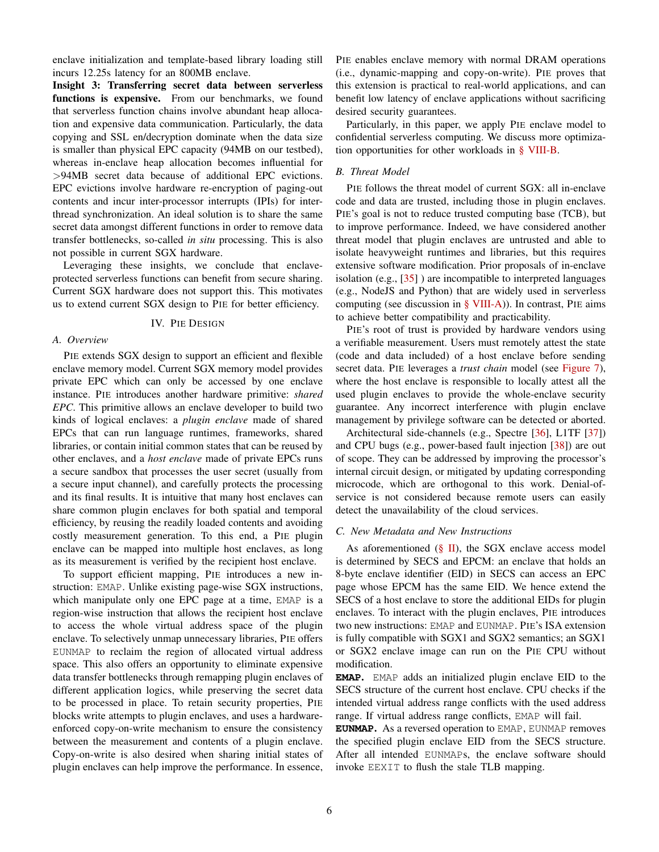enclave initialization and template-based library loading still incurs 12.25s latency for an 800MB enclave.

Insight 3: Transferring secret data between serverless functions is expensive. From our benchmarks, we found that serverless function chains involve abundant heap allocation and expensive data communication. Particularly, the data copying and SSL en/decryption dominate when the data size is smaller than physical EPC capacity (94MB on our testbed), whereas in-enclave heap allocation becomes influential for >94MB secret data because of additional EPC evictions. EPC evictions involve hardware re-encryption of paging-out contents and incur inter-processor interrupts (IPIs) for interthread synchronization. An ideal solution is to share the same secret data amongst different functions in order to remove data transfer bottlenecks, so-called *in situ* processing. This is also not possible in current SGX hardware.

Leveraging these insights, we conclude that enclaveprotected serverless functions can benefit from secure sharing. Current SGX hardware does not support this. This motivates us to extend current SGX design to PIE for better efficiency.

#### IV. PIE DESIGN

#### *A. Overview*

PIE extends SGX design to support an efficient and flexible enclave memory model. Current SGX memory model provides private EPC which can only be accessed by one enclave instance. PIE introduces another hardware primitive: *shared EPC*. This primitive allows an enclave developer to build two kinds of logical enclaves: a *plugin enclave* made of shared EPCs that can run language runtimes, frameworks, shared libraries, or contain initial common states that can be reused by other enclaves, and a *host enclave* made of private EPCs runs a secure sandbox that processes the user secret (usually from a secure input channel), and carefully protects the processing and its final results. It is intuitive that many host enclaves can share common plugin enclaves for both spatial and temporal efficiency, by reusing the readily loaded contents and avoiding costly measurement generation. To this end, a PIE plugin enclave can be mapped into multiple host enclaves, as long as its measurement is verified by the recipient host enclave.

To support efficient mapping, PIE introduces a new instruction: EMAP. Unlike existing page-wise SGX instructions, which manipulate only one EPC page at a time, EMAP is a region-wise instruction that allows the recipient host enclave to access the whole virtual address space of the plugin enclave. To selectively unmap unnecessary libraries, PIE offers EUNMAP to reclaim the region of allocated virtual address space. This also offers an opportunity to eliminate expensive data transfer bottlenecks through remapping plugin enclaves of different application logics, while preserving the secret data to be processed in place. To retain security properties, PIE blocks write attempts to plugin enclaves, and uses a hardwareenforced copy-on-write mechanism to ensure the consistency between the measurement and contents of a plugin enclave. Copy-on-write is also desired when sharing initial states of plugin enclaves can help improve the performance. In essence, PIE enables enclave memory with normal DRAM operations (i.e., dynamic-mapping and copy-on-write). PIE proves that this extension is practical to real-world applications, and can benefit low latency of enclave applications without sacrificing desired security guarantees.

Particularly, in this paper, we apply PIE enclave model to confidential serverless computing. We discuss more optimization opportunities for other workloads in [§ VIII-B.](#page-11-0)

## *B. Threat Model*

PIE follows the threat model of current SGX: all in-enclave code and data are trusted, including those in plugin enclaves. PIE's goal is not to reduce trusted computing base (TCB), but to improve performance. Indeed, we have considered another threat model that plugin enclaves are untrusted and able to isolate heavyweight runtimes and libraries, but this requires extensive software modification. Prior proposals of in-enclave isolation (e.g., [\[35\]](#page-12-32) ) are incompatible to interpreted languages (e.g., NodeJS and Python) that are widely used in serverless computing (see discussion in  $\S$  VIII-A)). In contrast, PIE aims to achieve better compatibility and practicability.

PIE's root of trust is provided by hardware vendors using a verifiable measurement. Users must remotely attest the state (code and data included) of a host enclave before sending secret data. PIE leverages a *trust chain* model (see [Figure 7\)](#page-7-0), where the host enclave is responsible to locally attest all the used plugin enclaves to provide the whole-enclave security guarantee. Any incorrect interference with plugin enclave management by privilege software can be detected or aborted.

Architectural side-channels (e.g., Spectre [\[36\]](#page-12-33), L1TF [\[37\]](#page-12-34)) and CPU bugs (e.g., power-based fault injection [\[38\]](#page-12-35)) are out of scope. They can be addressed by improving the processor's internal circuit design, or mitigated by updating corresponding microcode, which are orthogonal to this work. Denial-ofservice is not considered because remote users can easily detect the unavailability of the cloud services.

## *C. New Metadata and New Instructions*

As aforementioned  $(\S \text{II})$ , the SGX enclave access model is determined by SECS and EPCM: an enclave that holds an 8-byte enclave identifier (EID) in SECS can access an EPC page whose EPCM has the same EID. We hence extend the SECS of a host enclave to store the additional EIDs for plugin enclaves. To interact with the plugin enclaves, PIE introduces two new instructions: EMAP and EUNMAP. PIE's ISA extension is fully compatible with SGX1 and SGX2 semantics; an SGX1 or SGX2 enclave image can run on the PIE CPU without modification.

**EMAP**. EMAP adds an initialized plugin enclave EID to the SECS structure of the current host enclave. CPU checks if the intended virtual address range conflicts with the used address range. If virtual address range conflicts, EMAP will fail.

**EUNMAP**. As a reversed operation to EMAP, EUNMAP removes the specified plugin enclave EID from the SECS structure. After all intended EUNMAPs, the enclave software should invoke EEXIT to flush the stale TLB mapping.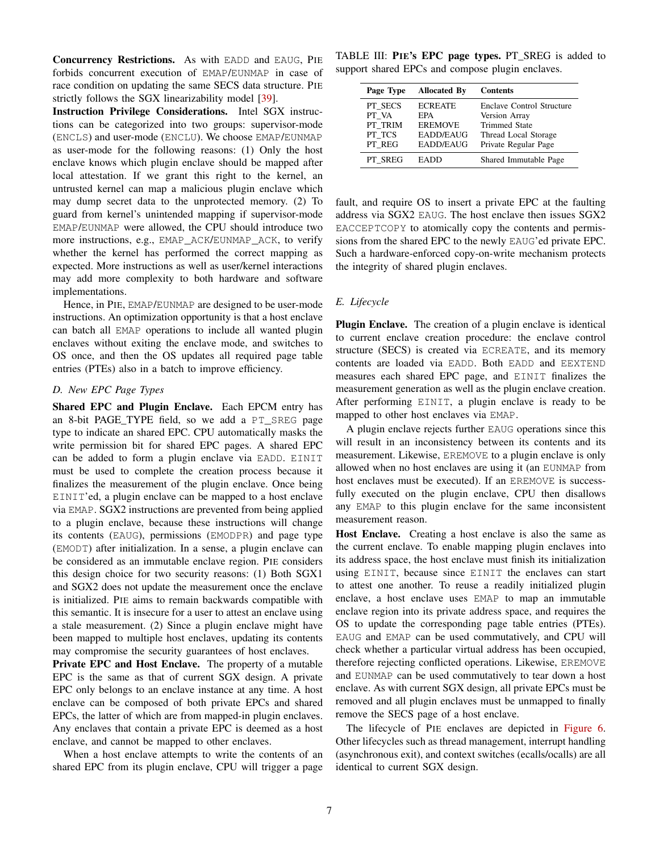Concurrency Restrictions. As with EADD and EAUG, PIE forbids concurrent execution of EMAP/EUNMAP in case of race condition on updating the same SECS data structure. PIE strictly follows the SGX linearizability model [\[39\]](#page-12-36).

Instruction Privilege Considerations. Intel SGX instructions can be categorized into two groups: supervisor-mode (ENCLS) and user-mode (ENCLU). We choose EMAP/EUNMAP as user-mode for the following reasons: (1) Only the host enclave knows which plugin enclave should be mapped after local attestation. If we grant this right to the kernel, an untrusted kernel can map a malicious plugin enclave which may dump secret data to the unprotected memory. (2) To guard from kernel's unintended mapping if supervisor-mode EMAP/EUNMAP were allowed, the CPU should introduce two more instructions, e.g., EMAP\_ACK/EUNMAP\_ACK, to verify whether the kernel has performed the correct mapping as expected. More instructions as well as user/kernel interactions may add more complexity to both hardware and software implementations.

Hence, in PIE, EMAP/EUNMAP are designed to be user-mode instructions. An optimization opportunity is that a host enclave can batch all EMAP operations to include all wanted plugin enclaves without exiting the enclave mode, and switches to OS once, and then the OS updates all required page table entries (PTEs) also in a batch to improve efficiency.

# *D. New EPC Page Types*

Shared EPC and Plugin Enclave. Each EPCM entry has an 8-bit PAGE\_TYPE field, so we add a PT\_SREG page type to indicate an shared EPC. CPU automatically masks the write permission bit for shared EPC pages. A shared EPC can be added to form a plugin enclave via EADD. EINIT must be used to complete the creation process because it finalizes the measurement of the plugin enclave. Once being EINIT'ed, a plugin enclave can be mapped to a host enclave via EMAP. SGX2 instructions are prevented from being applied to a plugin enclave, because these instructions will change its contents (EAUG), permissions (EMODPR) and page type (EMODT) after initialization. In a sense, a plugin enclave can be considered as an immutable enclave region. PIE considers this design choice for two security reasons: (1) Both SGX1 and SGX2 does not update the measurement once the enclave is initialized. PIE aims to remain backwards compatible with this semantic. It is insecure for a user to attest an enclave using a stale measurement. (2) Since a plugin enclave might have been mapped to multiple host enclaves, updating its contents may compromise the security guarantees of host enclaves.

Private EPC and Host Enclave. The property of a mutable EPC is the same as that of current SGX design. A private EPC only belongs to an enclave instance at any time. A host enclave can be composed of both private EPCs and shared EPCs, the latter of which are from mapped-in plugin enclaves. Any enclaves that contain a private EPC is deemed as a host enclave, and cannot be mapped to other enclaves.

When a host enclave attempts to write the contents of an shared EPC from its plugin enclave, CPU will trigger a page

TABLE III: PIE's EPC page types. PT\_SREG is added to support shared EPCs and compose plugin enclaves.

| Page Type                                       | <b>Allocated By</b>                                                             | <b>Contents</b>                                                                                                    |
|-------------------------------------------------|---------------------------------------------------------------------------------|--------------------------------------------------------------------------------------------------------------------|
| PT SECS<br>PT VA<br>PT TRIM<br>PT TCS<br>PT REG | <b>ECREATE</b><br>EPA<br><b>EREMOVE</b><br><b>EADD/EAUG</b><br><b>EADD/EAUG</b> | Enclave Control Structure<br>Version Array<br><b>Trimmed State</b><br>Thread Local Storage<br>Private Regular Page |
| PT SREG                                         | <b>EADD</b>                                                                     | Shared Immutable Page                                                                                              |

fault, and require OS to insert a private EPC at the faulting address via SGX2 EAUG. The host enclave then issues SGX2 EACCEPTCOPY to atomically copy the contents and permissions from the shared EPC to the newly EAUG'ed private EPC. Such a hardware-enforced copy-on-write mechanism protects the integrity of shared plugin enclaves.

# *E. Lifecycle*

Plugin Enclave. The creation of a plugin enclave is identical to current enclave creation procedure: the enclave control structure (SECS) is created via ECREATE, and its memory contents are loaded via EADD. Both EADD and EEXTEND measures each shared EPC page, and EINIT finalizes the measurement generation as well as the plugin enclave creation. After performing EINIT, a plugin enclave is ready to be mapped to other host enclaves via EMAP.

A plugin enclave rejects further EAUG operations since this will result in an inconsistency between its contents and its measurement. Likewise, EREMOVE to a plugin enclave is only allowed when no host enclaves are using it (an EUNMAP from host enclaves must be executed). If an EREMOVE is successfully executed on the plugin enclave, CPU then disallows any EMAP to this plugin enclave for the same inconsistent measurement reason.

Host Enclave. Creating a host enclave is also the same as the current enclave. To enable mapping plugin enclaves into its address space, the host enclave must finish its initialization using EINIT, because since EINIT the enclaves can start to attest one another. To reuse a readily initialized plugin enclave, a host enclave uses EMAP to map an immutable enclave region into its private address space, and requires the OS to update the corresponding page table entries (PTEs). EAUG and EMAP can be used commutatively, and CPU will check whether a particular virtual address has been occupied, therefore rejecting conflicted operations. Likewise, EREMOVE and EUNMAP can be used commutatively to tear down a host enclave. As with current SGX design, all private EPCs must be removed and all plugin enclaves must be unmapped to finally remove the SECS page of a host enclave.

The lifecycle of PIE enclaves are depicted in [Figure 6.](#page-7-1) Other lifecycles such as thread management, interrupt handling (asynchronous exit), and context switches (ecalls/ocalls) are all identical to current SGX design.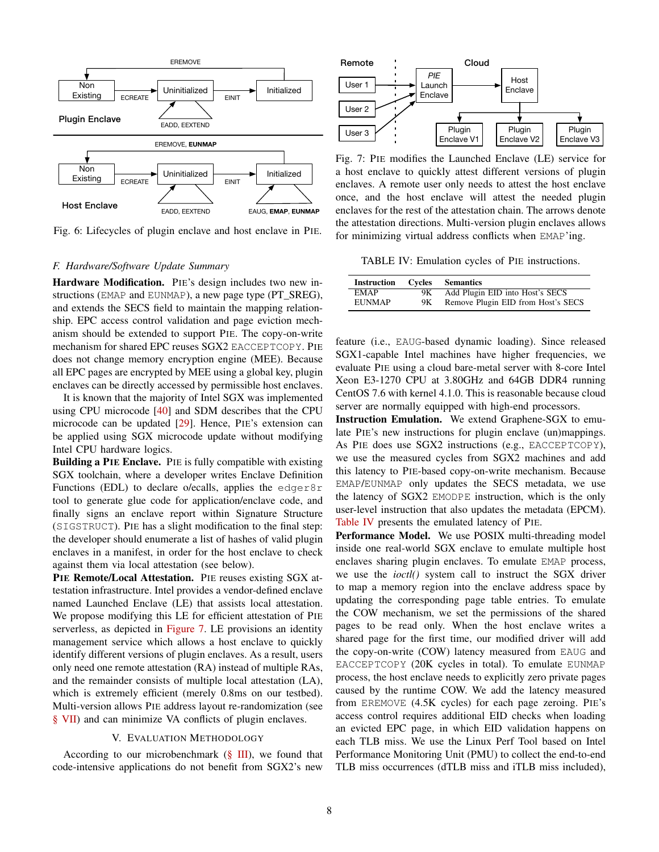<span id="page-7-1"></span>

Fig. 6: Lifecycles of plugin enclave and host enclave in PIE.

#### *F. Hardware/Software Update Summary*

Hardware Modification. PIE's design includes two new instructions (EMAP and EUNMAP), a new page type (PT\_SREG), and extends the SECS field to maintain the mapping relationship. EPC access control validation and page eviction mechanism should be extended to support PIE. The copy-on-write mechanism for shared EPC reuses SGX2 EACCEPTCOPY. PIE does not change memory encryption engine (MEE). Because all EPC pages are encrypted by MEE using a global key, plugin enclaves can be directly accessed by permissible host enclaves.

It is known that the majority of Intel SGX was implemented using CPU microcode [\[40\]](#page-12-37) and SDM describes that the CPU microcode can be updated [\[29\]](#page-12-24). Hence, PIE's extension can be applied using SGX microcode update without modifying Intel CPU hardware logics.

Building a PIE Enclave. PIE is fully compatible with existing SGX toolchain, where a developer writes Enclave Definition Functions (EDL) to declare o/ecalls, applies the edger8r tool to generate glue code for application/enclave code, and finally signs an enclave report within Signature Structure (SIGSTRUCT). PIE has a slight modification to the final step: the developer should enumerate a list of hashes of valid plugin enclaves in a manifest, in order for the host enclave to check against them via local attestation (see below).

PIE Remote/Local Attestation. PIE reuses existing SGX attestation infrastructure. Intel provides a vendor-defined enclave named Launched Enclave (LE) that assists local attestation. We propose modifying this LE for efficient attestation of PIE serverless, as depicted in [Figure 7.](#page-7-0) LE provisions an identity management service which allows a host enclave to quickly identify different versions of plugin enclaves. As a result, users only need one remote attestation (RA) instead of multiple RAs, and the remainder consists of multiple local attestation (LA), which is extremely efficient (merely 0.8ms on our testbed). Multi-version allows PIE address layout re-randomization (see [§ VII\)](#page-10-1) and can minimize VA conflicts of plugin enclaves.

#### V. EVALUATION METHODOLOGY

According to our microbenchmark  $(\S \text{III})$ , we found that code-intensive applications do not benefit from SGX2's new

<span id="page-7-0"></span>

Fig. 7: PIE modifies the Launched Enclave (LE) service for a host enclave to quickly attest different versions of plugin enclaves. A remote user only needs to attest the host enclave once, and the host enclave will attest the needed plugin enclaves for the rest of the attestation chain. The arrows denote the attestation directions. Multi-version plugin enclaves allows for minimizing virtual address conflicts when EMAP'ing.

<span id="page-7-2"></span>TABLE IV: Emulation cycles of PIE instructions.

| <b>Instruction</b> | Cycles | <b>Semantics</b>                   |
|--------------------|--------|------------------------------------|
| <b>EMAP</b>        | 9Κ     | Add Plugin EID into Host's SECS    |
| <b>EUNMAP</b>      | 9Κ.    | Remove Plugin EID from Host's SECS |

feature (i.e., EAUG-based dynamic loading). Since released SGX1-capable Intel machines have higher frequencies, we evaluate PIE using a cloud bare-metal server with 8-core Intel Xeon E3-1270 CPU at 3.80GHz and 64GB DDR4 running CentOS 7.6 with kernel 4.1.0. This is reasonable because cloud server are normally equipped with high-end processors.

Instruction Emulation. We extend Graphene-SGX to emulate PIE's new instructions for plugin enclave (un)mappings. As PIE does use SGX2 instructions (e.g., EACCEPTCOPY), we use the measured cycles from SGX2 machines and add this latency to PIE-based copy-on-write mechanism. Because EMAP/EUNMAP only updates the SECS metadata, we use the latency of SGX2 EMODPE instruction, which is the only user-level instruction that also updates the metadata (EPCM). [Table IV](#page-7-2) presents the emulated latency of PIE.

Performance Model. We use POSIX multi-threading model inside one real-world SGX enclave to emulate multiple host enclaves sharing plugin enclaves. To emulate EMAP process, we use the *ioctl()* system call to instruct the SGX driver to map a memory region into the enclave address space by updating the corresponding page table entries. To emulate the COW mechanism, we set the permissions of the shared pages to be read only. When the host enclave writes a shared page for the first time, our modified driver will add the copy-on-write (COW) latency measured from EAUG and EACCEPTCOPY (20K cycles in total). To emulate EUNMAP process, the host enclave needs to explicitly zero private pages caused by the runtime COW. We add the latency measured from EREMOVE (4.5K cycles) for each page zeroing. PIE's access control requires additional EID checks when loading an evicted EPC page, in which EID validation happens on each TLB miss. We use the Linux Perf Tool based on Intel Performance Monitoring Unit (PMU) to collect the end-to-end TLB miss occurrences (dTLB miss and iTLB miss included),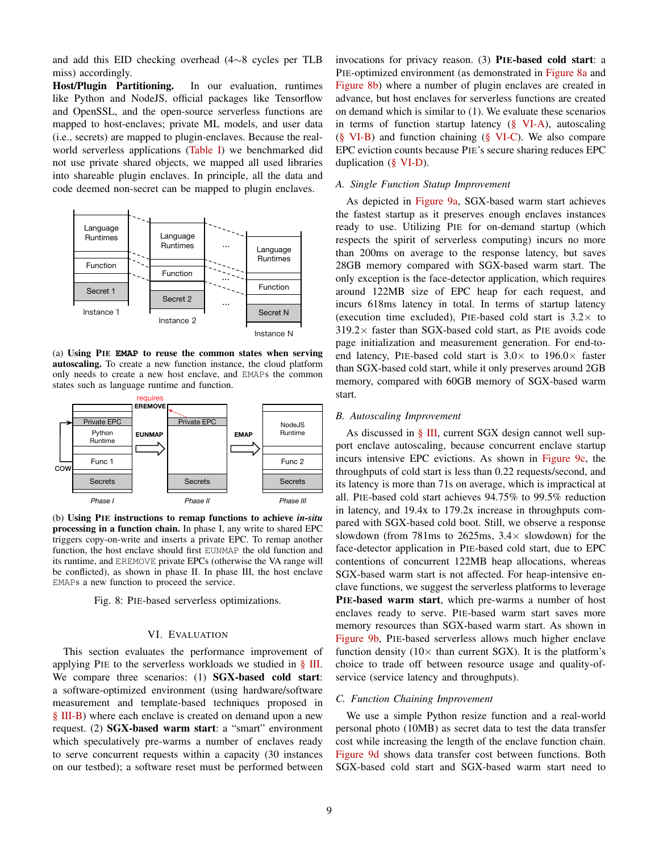and add this EID checking overhead (4∼8 cycles per TLB miss) accordingly.

Host/Plugin Partitioning. In our evaluation, runtimes like Python and NodeJS, official packages like Tensorflow and OpenSSL, and the open-source serverless functions are mapped to host-enclaves; private ML models, and user data (i.e., secrets) are mapped to plugin-enclaves. Because the realworld serverless applications [\(Table I\)](#page-2-0) we benchmarked did not use private shared objects, we mapped all used libraries into shareable plugin enclaves. In principle, all the data and code deemed non-secret can be mapped to plugin enclaves.

<span id="page-8-0"></span>

(a) Using PIE **EMAP** to reuse the common states when serving autoscaling. To create a new function instance, the cloud platform only needs to create a new host enclave, and EMAPs the common states such as language runtime and function.



(b) Using PIE instructions to remap functions to achieve *in-situ* processing in a function chain. In phase I, any write to shared EPC triggers copy-on-write and inserts a private EPC. To remap another function, the host enclave should first EUNMAP the old function and its runtime, and EREMOVE private EPCs (otherwise the VA range will be conflicted), as shown in phase II. In phase III, the host enclave EMAPs a new function to proceed the service.

Fig. 8: PIE-based serverless optimizations.

#### VI. EVALUATION

This section evaluates the performance improvement of applying PIE to the serverless workloads we studied in [§ III.](#page-1-2) We compare three scenarios: (1) **SGX-based cold start**: a software-optimized environment (using hardware/software measurement and template-based techniques proposed in [§ III-B\)](#page-4-1) where each enclave is created on demand upon a new request. (2) SGX-based warm start: a "smart" environment which speculatively pre-warms a number of enclaves ready to serve concurrent requests within a capacity (30 instances on our testbed); a software reset must be performed between invocations for privacy reason. (3) PIE-based cold start: a PIE-optimized environment (as demonstrated in [Figure 8a](#page-8-0) and [Figure 8b\)](#page-8-0) where a number of plugin enclaves are created in advance, but host enclaves for serverless functions are created on demand which is similar to (1). We evaluate these scenarios in terms of function startup latency [\(§ VI-A\)](#page-8-1), autoscaling [\(§ VI-B\)](#page-8-2) and function chaining [\(§ VI-C\)](#page-8-3). We also compare EPC eviction counts because PIE's secure sharing reduces EPC duplication [\(§ VI-D\)](#page-9-0).

# <span id="page-8-1"></span>*A. Single Function Statup Improvement*

As depicted in [Figure 9a,](#page-9-1) SGX-based warm start achieves the fastest startup as it preserves enough enclaves instances ready to use. Utilizing PIE for on-demand startup (which respects the spirit of serverless computing) incurs no more than 200ms on average to the response latency, but saves 28GB memory compared with SGX-based warm start. The only exception is the face-detector application, which requires around 122MB size of EPC heap for each request, and incurs 618ms latency in total. In terms of startup latency (execution time excluded), PIE-based cold start is  $3.2 \times$  to  $319.2\times$  faster than SGX-based cold start, as PIE avoids code page initialization and measurement generation. For end-toend latency, PIE-based cold start is  $3.0\times$  to  $196.0\times$  faster than SGX-based cold start, while it only preserves around 2GB memory, compared with 60GB memory of SGX-based warm start.

#### <span id="page-8-2"></span>*B. Autoscaling Improvement*

As discussed in [§ III,](#page-1-2) current SGX design cannot well support enclave autoscaling, because concurrent enclave startup incurs intensive EPC evictions. As shown in [Figure 9c,](#page-9-1) the throughputs of cold start is less than 0.22 requests/second, and its latency is more than 71s on average, which is impractical at all. PIE-based cold start achieves 94.75% to 99.5% reduction in latency, and 19.4x to 179.2x increase in throughputs compared with SGX-based cold boot. Still, we observe a response slowdown (from 781ms to 2625ms,  $3.4\times$  slowdown) for the face-detector application in PIE-based cold start, due to EPC contentions of concurrent 122MB heap allocations, whereas SGX-based warm start is not affected. For heap-intensive enclave functions, we suggest the serverless platforms to leverage PIE-based warm start, which pre-warms a number of host enclaves ready to serve. PIE-based warm start saves more memory resources than SGX-based warm start. As shown in [Figure 9b,](#page-9-1) PIE-based serverless allows much higher enclave function density ( $10\times$  than current SGX). It is the platform's choice to trade off between resource usage and quality-ofservice (service latency and throughputs).

#### <span id="page-8-3"></span>*C. Function Chaining Improvement*

We use a simple Python resize function and a real-world personal photo (10MB) as secret data to test the data transfer cost while increasing the length of the enclave function chain. [Figure 9d](#page-9-1) shows data transfer cost between functions. Both SGX-based cold start and SGX-based warm start need to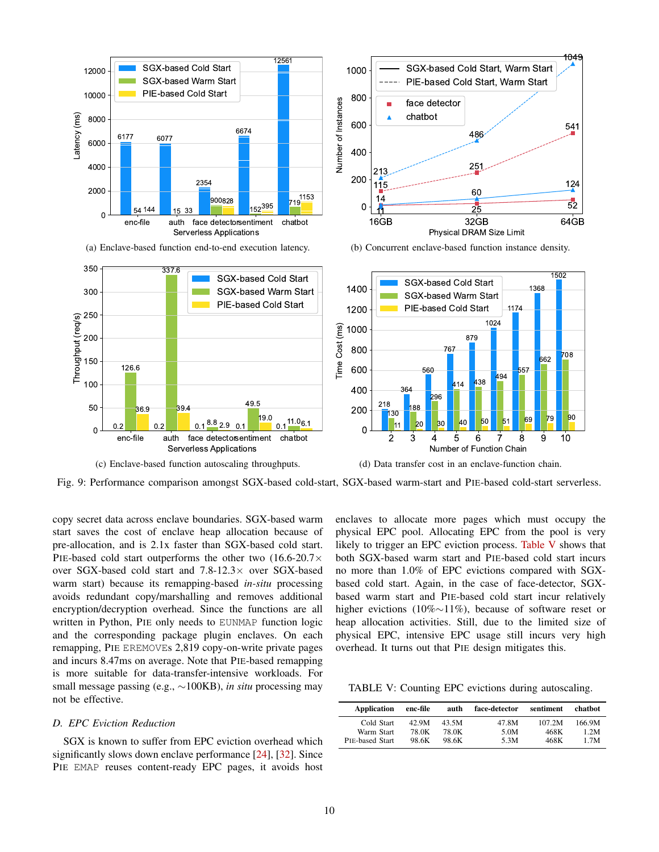<span id="page-9-1"></span>

Fig. 9: Performance comparison amongst SGX-based cold-start, SGX-based warm-start and PIE-based cold-start serverless.

copy secret data across enclave boundaries. SGX-based warm start saves the cost of enclave heap allocation because of pre-allocation, and is 2.1x faster than SGX-based cold start. PIE-based cold start outperforms the other two  $(16.6\n-20.7\times$ over SGX-based cold start and 7.8-12.3× over SGX-based warm start) because its remapping-based *in-situ* processing avoids redundant copy/marshalling and removes additional encryption/decryption overhead. Since the functions are all written in Python, PIE only needs to EUNMAP function logic and the corresponding package plugin enclaves. On each remapping, PIE EREMOVEs 2,819 copy-on-write private pages and incurs 8.47ms on average. Note that PIE-based remapping is more suitable for data-transfer-intensive workloads. For small message passing (e.g., ∼100KB), *in situ* processing may not be effective.

## <span id="page-9-0"></span>*D. EPC Eviction Reduction*

SGX is known to suffer from EPC eviction overhead which significantly slows down enclave performance [\[24\]](#page-12-17), [\[32\]](#page-12-28). Since PIE EMAP reuses content-ready EPC pages, it avoids host enclaves to allocate more pages which must occupy the physical EPC pool. Allocating EPC from the pool is very likely to trigger an EPC eviction process. [Table V](#page-9-2) shows that both SGX-based warm start and PIE-based cold start incurs no more than 1.0% of EPC evictions compared with SGXbased cold start. Again, in the case of face-detector, SGXbased warm start and PIE-based cold start incur relatively higher evictions (10%∼11%), because of software reset or heap allocation activities. Still, due to the limited size of physical EPC, intensive EPC usage still incurs very high overhead. It turns out that PIE design mitigates this.

<span id="page-9-2"></span>TABLE V: Counting EPC evictions during autoscaling.

| <b>Application</b>     | enc-file | auth  | face-detector | sentiment | chathot |
|------------------------|----------|-------|---------------|-----------|---------|
| Cold Start             | 42.9M    | 43.5M | 47.8M         | 107.2M    | 166.9M  |
| Warm Start             | 78.0K    | 78.0K | 5.0M          | 468K      | 1.2M    |
| <b>PIE-based Start</b> | 98.6K    | 98.6K | 5.3M          | 468K      | 1.7M    |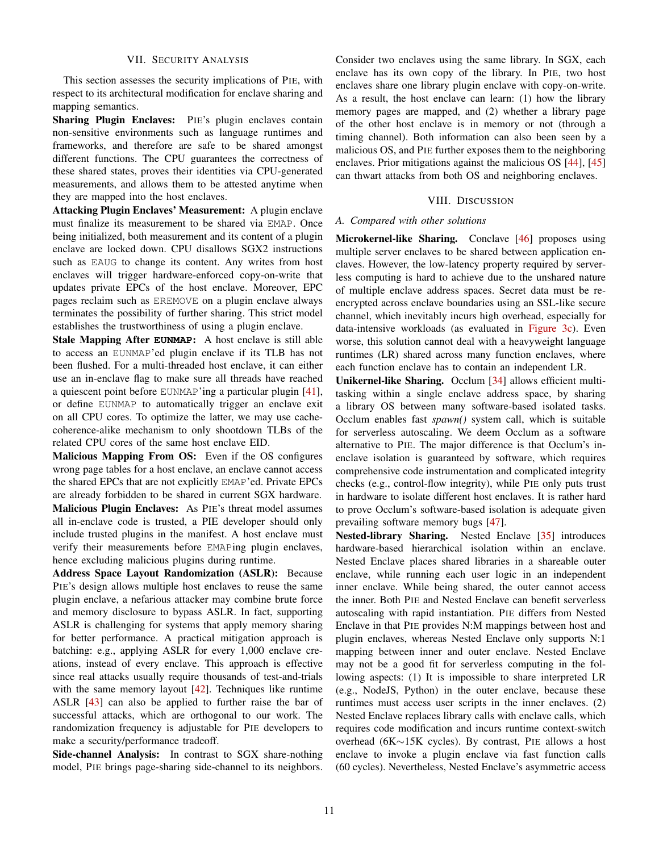## VII. SECURITY ANALYSIS

<span id="page-10-1"></span>This section assesses the security implications of PIE, with respect to its architectural modification for enclave sharing and mapping semantics.

Sharing Plugin Enclaves: PIE's plugin enclaves contain non-sensitive environments such as language runtimes and frameworks, and therefore are safe to be shared amongst different functions. The CPU guarantees the correctness of these shared states, proves their identities via CPU-generated measurements, and allows them to be attested anytime when they are mapped into the host enclaves.

Attacking Plugin Enclaves' Measurement: A plugin enclave must finalize its measurement to be shared via EMAP. Once being initialized, both measurement and its content of a plugin enclave are locked down. CPU disallows SGX2 instructions such as EAUG to change its content. Any writes from host enclaves will trigger hardware-enforced copy-on-write that updates private EPCs of the host enclave. Moreover, EPC pages reclaim such as EREMOVE on a plugin enclave always terminates the possibility of further sharing. This strict model establishes the trustworthiness of using a plugin enclave.

Stale Mapping After **EUNMAP**: A host enclave is still able to access an EUNMAP'ed plugin enclave if its TLB has not been flushed. For a multi-threaded host enclave, it can either use an in-enclave flag to make sure all threads have reached a quiescent point before EUNMAP'ing a particular plugin [\[41\]](#page-13-0), or define EUNMAP to automatically trigger an enclave exit on all CPU cores. To optimize the latter, we may use cachecoherence-alike mechanism to only shootdown TLBs of the related CPU cores of the same host enclave EID.

Malicious Mapping From OS: Even if the OS configures wrong page tables for a host enclave, an enclave cannot access the shared EPCs that are not explicitly EMAP'ed. Private EPCs are already forbidden to be shared in current SGX hardware. Malicious Plugin Enclaves: As PIE's threat model assumes all in-enclave code is trusted, a PIE developer should only include trusted plugins in the manifest. A host enclave must verify their measurements before EMAPing plugin enclaves, hence excluding malicious plugins during runtime.

Address Space Layout Randomization (ASLR): Because PIE's design allows multiple host enclaves to reuse the same plugin enclave, a nefarious attacker may combine brute force and memory disclosure to bypass ASLR. In fact, supporting ASLR is challenging for systems that apply memory sharing for better performance. A practical mitigation approach is batching: e.g., applying ASLR for every 1,000 enclave creations, instead of every enclave. This approach is effective since real attacks usually require thousands of test-and-trials with the same memory layout  $[42]$ . Techniques like runtime ASLR [\[43\]](#page-13-2) can also be applied to further raise the bar of successful attacks, which are orthogonal to our work. The randomization frequency is adjustable for PIE developers to make a security/performance tradeoff.

Side-channel Analysis: In contrast to SGX share-nothing model, PIE brings page-sharing side-channel to its neighbors. Consider two enclaves using the same library. In SGX, each enclave has its own copy of the library. In PIE, two host enclaves share one library plugin enclave with copy-on-write. As a result, the host enclave can learn: (1) how the library memory pages are mapped, and (2) whether a library page of the other host enclave is in memory or not (through a timing channel). Both information can also been seen by a malicious OS, and PIE further exposes them to the neighboring enclaves. Prior mitigations against the malicious OS [\[44\]](#page-13-3), [\[45\]](#page-13-4) can thwart attacks from both OS and neighboring enclaves.

## VIII. DISCUSSION

#### <span id="page-10-0"></span>*A. Compared with other solutions*

Microkernel-like Sharing. Conclave [\[46\]](#page-13-5) proposes using multiple server enclaves to be shared between application enclaves. However, the low-latency property required by serverless computing is hard to achieve due to the unshared nature of multiple enclave address spaces. Secret data must be reencrypted across enclave boundaries using an SSL-like secure channel, which inevitably incurs high overhead, especially for data-intensive workloads (as evaluated in [Figure 3c\)](#page-3-0). Even worse, this solution cannot deal with a heavyweight language runtimes (LR) shared across many function enclaves, where each function enclave has to contain an independent LR.

Unikernel-like Sharing. Occlum [\[34\]](#page-12-31) allows efficient multitasking within a single enclave address space, by sharing a library OS between many software-based isolated tasks. Occlum enables fast *spawn()* system call, which is suitable for serverless autoscaling. We deem Occlum as a software alternative to PIE. The major difference is that Occlum's inenclave isolation is guaranteed by software, which requires comprehensive code instrumentation and complicated integrity checks (e.g., control-flow integrity), while PIE only puts trust in hardware to isolate different host enclaves. It is rather hard to prove Occlum's software-based isolation is adequate given prevailing software memory bugs [\[47\]](#page-13-6).

Nested-library Sharing. Nested Enclave [\[35\]](#page-12-32) introduces hardware-based hierarchical isolation within an enclave. Nested Enclave places shared libraries in a shareable outer enclave, while running each user logic in an independent inner enclave. While being shared, the outer cannot access the inner. Both PIE and Nested Enclave can benefit serverless autoscaling with rapid instantiation. PIE differs from Nested Enclave in that PIE provides N:M mappings between host and plugin enclaves, whereas Nested Enclave only supports N:1 mapping between inner and outer enclave. Nested Enclave may not be a good fit for serverless computing in the following aspects: (1) It is impossible to share interpreted LR (e.g., NodeJS, Python) in the outer enclave, because these runtimes must access user scripts in the inner enclaves. (2) Nested Enclave replaces library calls with enclave calls, which requires code modification and incurs runtime context-switch overhead (6K∼15K cycles). By contrast, PIE allows a host enclave to invoke a plugin enclave via fast function calls (60 cycles). Nevertheless, Nested Enclave's asymmetric access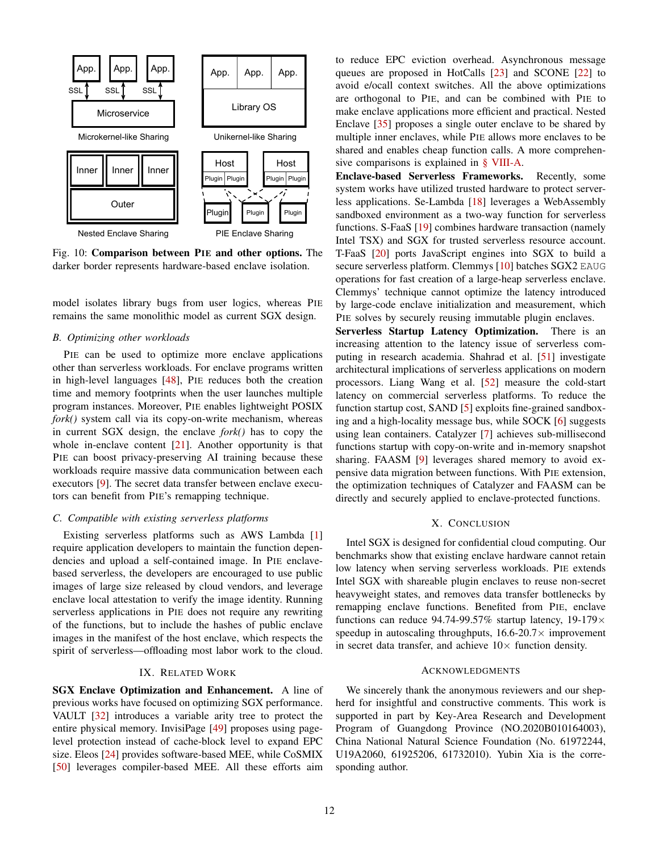

Fig. 10: Comparison between PIE and other options. The darker border represents hardware-based enclave isolation.

model isolates library bugs from user logics, whereas PIE remains the same monolithic model as current SGX design.

# <span id="page-11-0"></span>*B. Optimizing other workloads*

PIE can be used to optimize more enclave applications other than serverless workloads. For enclave programs written in high-level languages [\[48\]](#page-13-7), PIE reduces both the creation time and memory footprints when the user launches multiple program instances. Moreover, PIE enables lightweight POSIX *fork()* system call via its copy-on-write mechanism, whereas in current SGX design, the enclave *fork()* has to copy the whole in-enclave content [\[21\]](#page-12-15). Another opportunity is that PIE can boost privacy-preserving AI training because these workloads require massive data communication between each executors [\[9\]](#page-12-20). The secret data transfer between enclave executors can benefit from PIE's remapping technique.

#### *C. Compatible with existing serverless platforms*

Existing serverless platforms such as AWS Lambda [\[1\]](#page-12-0) require application developers to maintain the function dependencies and upload a self-contained image. In PIE enclavebased serverless, the developers are encouraged to use public images of large size released by cloud vendors, and leverage enclave local attestation to verify the image identity. Running serverless applications in PIE does not require any rewriting of the functions, but to include the hashes of public enclave images in the manifest of the host enclave, which respects the spirit of serverless—offloading most labor work to the cloud.

# IX. RELATED WORK

SGX Enclave Optimization and Enhancement. A line of previous works have focused on optimizing SGX performance. VAULT [\[32\]](#page-12-28) introduces a variable arity tree to protect the entire physical memory. InvisiPage [\[49\]](#page-13-8) proposes using pagelevel protection instead of cache-block level to expand EPC size. Eleos [\[24\]](#page-12-17) provides software-based MEE, while CoSMIX [\[50\]](#page-13-9) leverages compiler-based MEE. All these efforts aim

to reduce EPC eviction overhead. Asynchronous message queues are proposed in HotCalls [\[23\]](#page-12-27) and SCONE [\[22\]](#page-12-16) to avoid e/ocall context switches. All the above optimizations are orthogonal to PIE, and can be combined with PIE to make enclave applications more efficient and practical. Nested Enclave [\[35\]](#page-12-32) proposes a single outer enclave to be shared by multiple inner enclaves, while PIE allows more enclaves to be shared and enables cheap function calls. A more comprehensive comparisons is explained in [§ VIII-A.](#page-10-0)

Enclave-based Serverless Frameworks. Recently, some system works have utilized trusted hardware to protect serverless applications. Se-Lambda [\[18\]](#page-12-13) leverages a WebAssembly sandboxed environment as a two-way function for serverless functions. S-FaaS [\[19\]](#page-12-38) combines hardware transaction (namely Intel TSX) and SGX for trusted serverless resource account. T-FaaS [\[20\]](#page-12-14) ports JavaScript engines into SGX to build a secure serverless platform. Clemmys [\[10\]](#page-12-5) batches SGX2 EAUG operations for fast creation of a large-heap serverless enclave. Clemmys' technique cannot optimize the latency introduced by large-code enclave initialization and measurement, which PIE solves by securely reusing immutable plugin enclaves.

Serverless Startup Latency Optimization. There is an increasing attention to the latency issue of serverless computing in research academia. Shahrad et al. [\[51\]](#page-13-10) investigate architectural implications of serverless applications on modern processors. Liang Wang et al. [\[52\]](#page-13-11) measure the cold-start latency on commercial serverless platforms. To reduce the function startup cost, SAND [\[5\]](#page-12-4) exploits fine-grained sandboxing and a high-locality message bus, while SOCK [\[6\]](#page-12-39) suggests using lean containers. Catalyzer [\[7\]](#page-12-19) achieves sub-millisecond functions startup with copy-on-write and in-memory snapshot sharing. FAASM [\[9\]](#page-12-20) leverages shared memory to avoid expensive data migration between functions. With PIE extension, the optimization techniques of Catalyzer and FAASM can be directly and securely applied to enclave-protected functions.

## X. CONCLUSION

Intel SGX is designed for confidential cloud computing. Our benchmarks show that existing enclave hardware cannot retain low latency when serving serverless workloads. PIE extends Intel SGX with shareable plugin enclaves to reuse non-secret heavyweight states, and removes data transfer bottlenecks by remapping enclave functions. Benefited from PIE, enclave functions can reduce 94.74-99.57% startup latency,  $19-179 \times$ speedup in autoscaling throughputs,  $16.6-20.7\times$  improvement in secret data transfer, and achieve  $10\times$  function density.

## ACKNOWLEDGMENTS

We sincerely thank the anonymous reviewers and our shepherd for insightful and constructive comments. This work is supported in part by Key-Area Research and Development Program of Guangdong Province (NO.2020B010164003), China National Natural Science Foundation (No. 61972244, U19A2060, 61925206, 61732010). Yubin Xia is the corresponding author.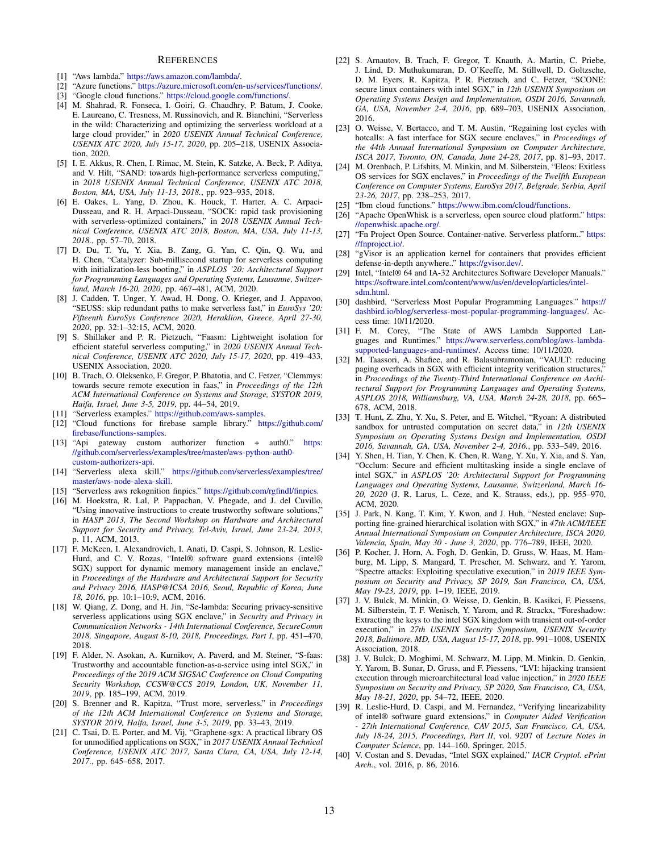#### **REFERENCES**

- <span id="page-12-0"></span>[1] "Aws lambda." [https://aws.amazon.com/lambda/.](https://aws.amazon.com/lambda/)
- <span id="page-12-1"></span>[2] "Azure functions." [https://azure.microsoft.com/en-us/services/functions/.](https://azure.microsoft.com/en-us/services/functions/)
- <span id="page-12-2"></span>[3] "Google cloud functions." [https://cloud.google.com/functions/.](https://cloud.google.com/functions/)
- <span id="page-12-3"></span>[4] M. Shahrad, R. Fonseca, I. Goiri, G. Chaudhry, P. Batum, J. Cooke, E. Laureano, C. Tresness, M. Russinovich, and R. Bianchini, "Serverless in the wild: Characterizing and optimizing the serverless workload at a large cloud provider," in 2020 USENIX Annual Technical Conference, *USENIX ATC 2020, July 15-17, 2020*, pp. 205–218, USENIX Association, 2020.
- <span id="page-12-4"></span>[5] I. E. Akkus, R. Chen, I. Rimac, M. Stein, K. Satzke, A. Beck, P. Aditya, and V. Hilt, "SAND: towards high-performance serverless computing," in *2018 USENIX Annual Technical Conference, USENIX ATC 2018, Boston, MA, USA, July 11-13, 2018.*, pp. 923–935, 2018.
- <span id="page-12-39"></span>[6] E. Oakes, L. Yang, D. Zhou, K. Houck, T. Harter, A. C. Arpaci-Dusseau, and R. H. Arpaci-Dusseau, "SOCK: rapid task provisioning with serverless-optimized containers," in *2018 USENIX Annual Technical Conference, USENIX ATC 2018, Boston, MA, USA, July 11-13, 2018.*, pp. 57–70, 2018.
- <span id="page-12-19"></span>[7] D. Du, T. Yu, Y. Xia, B. Zang, G. Yan, C. Qin, Q. Wu, and H. Chen, "Catalyzer: Sub-millisecond startup for serverless computing with initialization-less booting," in *ASPLOS '20: Architectural Support for Programming Languages and Operating Systems, Lausanne, Switzerland, March 16-20, 2020*, pp. 467–481, ACM, 2020.
- <span id="page-12-29"></span>[8] J. Cadden, T. Unger, Y. Awad, H. Dong, O. Krieger, and J. Appavoo, "SEUSS: skip redundant paths to make serverless fast," in *EuroSys '20: Fifteenth EuroSys Conference 2020, Heraklion, Greece, April 27-30, 2020*, pp. 32:1–32:15, ACM, 2020.
- <span id="page-12-20"></span>[9] S. Shillaker and P. R. Pietzuch, "Faasm: Lightweight isolation for efficient stateful serverless computing," in *2020 USENIX Annual Technical Conference, USENIX ATC 2020, July 15-17, 2020*, pp. 419–433, USENIX Association, 2020.
- <span id="page-12-5"></span>[10] B. Trach, O. Oleksenko, F. Gregor, P. Bhatotia, and C. Fetzer, "Clemmys: towards secure remote execution in faas," in *Proceedings of the 12th ACM International Conference on Systems and Storage, SYSTOR 2019, Haifa, Israel, June 3-5, 2019*, pp. 44–54, 2019.
- <span id="page-12-6"></span>[11] "Serverless examples." [https://github.com/aws-samples.](https://github.com/aws-samples)
- <span id="page-12-7"></span>[12] "Cloud functions for firebase sample library." [https://github.com/](https://github.com/firebase/functions-samples) [firebase/functions-samples.](https://github.com/firebase/functions-samples)
- <span id="page-12-8"></span>[13] "Api gateway custom authorizer function + auth0." [https:](https://github.com/serverless/examples/tree/master/aws-python-auth0-custom-authorizers-api) [//github.com/serverless/examples/tree/master/aws-python-auth0](https://github.com/serverless/examples/tree/master/aws-python-auth0-custom-authorizers-api) [custom-authorizers-api.](https://github.com/serverless/examples/tree/master/aws-python-auth0-custom-authorizers-api)
- <span id="page-12-9"></span>[14] "Serverless alexa skill." [https://github.com/serverless/examples/tree/](https://github.com/serverless/examples/tree/master/aws-node-alexa-skill) [master/aws-node-alexa-skill.](https://github.com/serverless/examples/tree/master/aws-node-alexa-skill)
- <span id="page-12-10"></span>[15] "Serverless aws rekognition finpics." [https://github.com/rgfindl/finpics.](https://github.com/rgfindl/finpics)
- <span id="page-12-11"></span>[16] M. Hoekstra, R. Lal, P. Pappachan, V. Phegade, and J. del Cuvillo, "Using innovative instructions to create trustworthy software solutions," in *HASP 2013, The Second Workshop on Hardware and Architectural Support for Security and Privacy, Tel-Aviv, Israel, June 23-24, 2013*, p. 11, ACM, 2013.
- <span id="page-12-12"></span>[17] F. McKeen, I. Alexandrovich, I. Anati, D. Caspi, S. Johnson, R. Leslie-Hurd, and C. V. Rozas, "Intel® software guard extensions (intel® SGX) support for dynamic memory management inside an enclave," in *Proceedings of the Hardware and Architectural Support for Security and Privacy 2016, HASP@ICSA 2016, Seoul, Republic of Korea, June 18, 2016*, pp. 10:1–10:9, ACM, 2016.
- <span id="page-12-13"></span>[18] W. Qiang, Z. Dong, and H. Jin, "Se-lambda: Securing privacy-sensitive serverless applications using SGX enclave," in *Security and Privacy in Communication Networks - 14th International Conference, SecureComm 2018, Singapore, August 8-10, 2018, Proceedings, Part I*, pp. 451–470, 2018.
- <span id="page-12-38"></span>[19] F. Alder, N. Asokan, A. Kurnikov, A. Paverd, and M. Steiner, "S-faas: Trustworthy and accountable function-as-a-service using intel SGX," in *Proceedings of the 2019 ACM SIGSAC Conference on Cloud Computing Security Workshop, CCSW@CCS 2019, London, UK, November 11, 2019*, pp. 185–199, ACM, 2019.
- <span id="page-12-14"></span>[20] S. Brenner and R. Kapitza, "Trust more, serverless," in *Proceedings of the 12th ACM International Conference on Systems and Storage, SYSTOR 2019, Haifa, Israel, June 3-5, 2019*, pp. 33–43, 2019.
- <span id="page-12-15"></span>[21] C. Tsai, D. E. Porter, and M. Vij, "Graphene-sgx: A practical library OS for unmodified applications on SGX," in *2017 USENIX Annual Technical Conference, USENIX ATC 2017, Santa Clara, CA, USA, July 12-14, 2017.*, pp. 645–658, 2017.
- <span id="page-12-16"></span>[22] S. Arnautov, B. Trach, F. Gregor, T. Knauth, A. Martin, C. Priebe, J. Lind, D. Muthukumaran, D. O'Keeffe, M. Stillwell, D. Goltzsche, D. M. Eyers, R. Kapitza, P. R. Pietzuch, and C. Fetzer, "SCONE: secure linux containers with intel SGX," in *12th USENIX Symposium on Operating Systems Design and Implementation, OSDI 2016, Savannah, GA, USA, November 2-4, 2016*, pp. 689–703, USENIX Association, 2016.
- <span id="page-12-27"></span>[23] O. Weisse, V. Bertacco, and T. M. Austin, "Regaining lost cycles with hotcalls: A fast interface for SGX secure enclaves," in *Proceedings of the 44th Annual International Symposium on Computer Architecture, ISCA 2017, Toronto, ON, Canada, June 24-28, 2017*, pp. 81–93, 2017.
- <span id="page-12-17"></span>[24] M. Orenbach, P. Lifshits, M. Minkin, and M. Silberstein, "Eleos: Exitless OS services for SGX enclaves," in *Proceedings of the Twelfth European Conference on Computer Systems, EuroSys 2017, Belgrade, Serbia, April 23-26, 2017*, pp. 238–253, 2017.
- <span id="page-12-18"></span>[25] "Ibm cloud functions." [https://www.ibm.com/cloud/functions.](https://www.ibm.com/cloud/functions)
- <span id="page-12-21"></span>[26] "Apache OpenWhisk is a serverless, open source cloud platform." [https:](https://openwhisk.apache.org/) [//openwhisk.apache.org/.](https://openwhisk.apache.org/)
- <span id="page-12-22"></span>[27] "Fn Project Open Source. Container-native. Serverless platform.." [https:](https://fnproject.io/) [//fnproject.io/.](https://fnproject.io/)
- <span id="page-12-23"></span>[28] "gVisor is an application kernel for containers that provides efficient defense-in-depth anywhere.." [https://gvisor.dev/.](https://gvisor.dev/)
- <span id="page-12-24"></span>[29] Intel, "Intel® 64 and IA-32 Architectures Software Developer Manuals." [https://software.intel.com/content/www/us/en/develop/articles/intel](https://software.intel.com/content/www/us/en/develop/articles/intel-sdm.html)[sdm.html.](https://software.intel.com/content/www/us/en/develop/articles/intel-sdm.html)
- <span id="page-12-25"></span>[30] dashbird, "Serverless Most Popular Programming Languages." [https://](https://dashbird.io/blog/serverless-most-popular-programming-languages/) [dashbird.io/blog/serverless-most-popular-programming-languages/.](https://dashbird.io/blog/serverless-most-popular-programming-languages/) Access time: 10/11/2020.
- <span id="page-12-26"></span>[31] F. M. Corey, "The State of AWS Lambda Supported Languages and Runtimes." [https://www.serverless.com/blog/aws-lambda](https://www.serverless.com/blog/aws-lambda-supported-languages-and-runtimes/)[supported-languages-and-runtimes/.](https://www.serverless.com/blog/aws-lambda-supported-languages-and-runtimes/) Access time: 10/11/2020.
- <span id="page-12-28"></span>[32] M. Taassori, A. Shafiee, and R. Balasubramonian, "VAULT: reducing paging overheads in SGX with efficient integrity verification structures,' in *Proceedings of the Twenty-Third International Conference on Architectural Support for Programming Languages and Operating Systems, ASPLOS 2018, Williamsburg, VA, USA, March 24-28, 2018*, pp. 665– 678, ACM, 2018.
- <span id="page-12-30"></span>[33] T. Hunt, Z. Zhu, Y. Xu, S. Peter, and E. Witchel, "Ryoan: A distributed sandbox for untrusted computation on secret data," in *12th USENIX Symposium on Operating Systems Design and Implementation, OSDI 2016, Savannah, GA, USA, November 2-4, 2016.*, pp. 533–549, 2016.
- <span id="page-12-31"></span>[34] Y. Shen, H. Tian, Y. Chen, K. Chen, R. Wang, Y. Xu, Y. Xia, and S. Yan, "Occlum: Secure and efficient multitasking inside a single enclave of intel SGX," in *ASPLOS '20: Architectural Support for Programming Languages and Operating Systems, Lausanne, Switzerland, March 16- 20, 2020* (J. R. Larus, L. Ceze, and K. Strauss, eds.), pp. 955–970, ACM, 2020.
- <span id="page-12-32"></span>[35] J. Park, N. Kang, T. Kim, Y. Kwon, and J. Huh, "Nested enclave: Supporting fine-grained hierarchical isolation with SGX," in *47th ACM/IEEE Annual International Symposium on Computer Architecture, ISCA 2020, Valencia, Spain, May 30 - June 3, 2020*, pp. 776–789, IEEE, 2020.
- <span id="page-12-33"></span>[36] P. Kocher, J. Horn, A. Fogh, D. Genkin, D. Gruss, W. Haas, M. Hamburg, M. Lipp, S. Mangard, T. Prescher, M. Schwarz, and Y. Yarom, "Spectre attacks: Exploiting speculative execution," in *2019 IEEE Symposium on Security and Privacy, SP 2019, San Francisco, CA, USA, May 19-23, 2019*, pp. 1–19, IEEE, 2019.
- <span id="page-12-34"></span>[37] J. V. Bulck, M. Minkin, O. Weisse, D. Genkin, B. Kasikci, F. Piessens, M. Silberstein, T. F. Wenisch, Y. Yarom, and R. Strackx, "Foreshadow: Extracting the keys to the intel SGX kingdom with transient out-of-order execution," in *27th USENIX Security Symposium, USENIX Security 2018, Baltimore, MD, USA, August 15-17, 2018*, pp. 991–1008, USENIX Association, 2018.
- <span id="page-12-35"></span>[38] J. V. Bulck, D. Moghimi, M. Schwarz, M. Lipp, M. Minkin, D. Genkin, Y. Yarom, B. Sunar, D. Gruss, and F. Piessens, "LVI: hijacking transient execution through microarchitectural load value injection," in *2020 IEEE Symposium on Security and Privacy, SP 2020, San Francisco, CA, USA, May 18-21, 2020*, pp. 54–72, IEEE, 2020.
- <span id="page-12-36"></span>[39] R. Leslie-Hurd, D. Caspi, and M. Fernandez, "Verifying linearizability of intel® software guard extensions," in *Computer Aided Verification - 27th International Conference, CAV 2015, San Francisco, CA, USA, July 18-24, 2015, Proceedings, Part II*, vol. 9207 of *Lecture Notes in Computer Science*, pp. 144–160, Springer, 2015.
- <span id="page-12-37"></span>[40] V. Costan and S. Devadas, "Intel SGX explained," *IACR Cryptol. ePrint Arch.*, vol. 2016, p. 86, 2016.